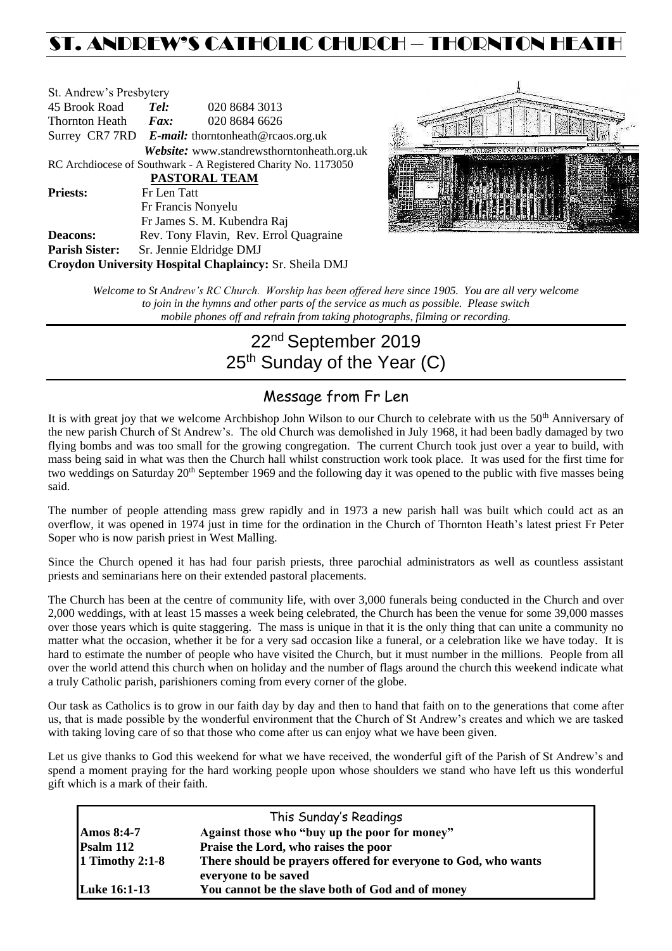# ST. ANDREW'S CATHOLIC CHURCH – THORNTON HEAT

| St. Andrew's Presbytery                                        |                                                   |                                            |  |  |  |
|----------------------------------------------------------------|---------------------------------------------------|--------------------------------------------|--|--|--|
| 45 Brook Road                                                  | Tel:                                              | 020 8684 3013                              |  |  |  |
| Thornton Heath                                                 | Fax:                                              | 020 8684 6626                              |  |  |  |
|                                                                | Surrey CR7 7RD E-mail: thorntonheath@rcaos.org.uk |                                            |  |  |  |
|                                                                |                                                   | Website: www.standrewsthorntonheath.org.uk |  |  |  |
| RC Archdiocese of Southwark - A Registered Charity No. 1173050 |                                                   |                                            |  |  |  |
| <b>PASTORAL TEAM</b>                                           |                                                   |                                            |  |  |  |
| <b>Priests:</b>                                                | Fr Len Tatt                                       |                                            |  |  |  |
|                                                                |                                                   | Fr Francis Nonyelu                         |  |  |  |
|                                                                |                                                   | Fr James S. M. Kubendra Raj                |  |  |  |
| <b>Deacons:</b>                                                |                                                   | Rev. Tony Flavin, Rev. Errol Quagraine     |  |  |  |
| <b>Parish Sister:</b>                                          |                                                   | Sr. Jennie Eldridge DMJ                    |  |  |  |
| Croydon University Hospital Chaplaincy: Sr. Sheila DMJ         |                                                   |                                            |  |  |  |



*Welcome to St Andrew's RC Church. Worship has been offered here since 1905. You are all very welcome to join in the hymns and other parts of the service as much as possible. Please switch mobile phones off and refrain from taking photographs, filming or recording.*

# 22<sup>nd</sup> September 2019 25<sup>th</sup> Sunday of the Year (C)

## Message from Fr Len

It is with great joy that we welcome Archbishop John Wilson to our Church to celebrate with us the 50<sup>th</sup> Anniversary of the new parish Church of St Andrew's. The old Church was demolished in July 1968, it had been badly damaged by two flying bombs and was too small for the growing congregation. The current Church took just over a year to build, with mass being said in what was then the Church hall whilst construction work took place. It was used for the first time for two weddings on Saturday 20<sup>th</sup> September 1969 and the following day it was opened to the public with five masses being said.

The number of people attending mass grew rapidly and in 1973 a new parish hall was built which could act as an overflow, it was opened in 1974 just in time for the ordination in the Church of Thornton Heath's latest priest Fr Peter Soper who is now parish priest in West Malling.

Since the Church opened it has had four parish priests, three parochial administrators as well as countless assistant priests and seminarians here on their extended pastoral placements.

The Church has been at the centre of community life, with over 3,000 funerals being conducted in the Church and over 2,000 weddings, with at least 15 masses a week being celebrated, the Church has been the venue for some 39,000 masses over those years which is quite staggering. The mass is unique in that it is the only thing that can unite a community no matter what the occasion, whether it be for a very sad occasion like a funeral, or a celebration like we have today. It is hard to estimate the number of people who have visited the Church, but it must number in the millions. People from all over the world attend this church when on holiday and the number of flags around the church this weekend indicate what a truly Catholic parish, parishioners coming from every corner of the globe.

Our task as Catholics is to grow in our faith day by day and then to hand that faith on to the generations that come after us, that is made possible by the wonderful environment that the Church of St Andrew's creates and which we are tasked with taking loving care of so that those who come after us can enjoy what we have been given.

Let us give thanks to God this weekend for what we have received, the wonderful gift of the Parish of St Andrew's and spend a moment praying for the hard working people upon whose shoulders we stand who have left us this wonderful gift which is a mark of their faith.

| This Sunday's Readings |                                                                |  |  |  |
|------------------------|----------------------------------------------------------------|--|--|--|
| <b>Amos 8:4-7</b>      | Against those who "buy up the poor for money"                  |  |  |  |
| Psalm 112              | Praise the Lord, who raises the poor                           |  |  |  |
| 1 Timothy 2:1-8        | There should be prayers offered for everyone to God, who wants |  |  |  |
|                        | everyone to be saved                                           |  |  |  |
| <b>Luke 16:1-13</b>    | You cannot be the slave both of God and of money               |  |  |  |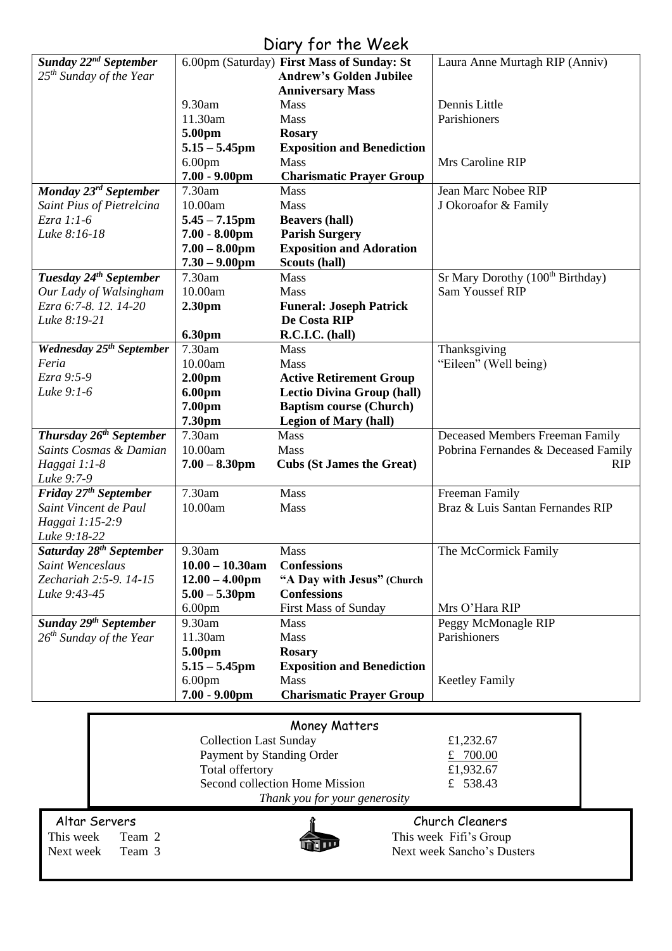## Diary for the Week

|                                     |                               | <b>UNITY IVI INC WEEK</b>                  |                                              |
|-------------------------------------|-------------------------------|--------------------------------------------|----------------------------------------------|
| Sunday 22 <sup>nd</sup> September   |                               | 6.00pm (Saturday) First Mass of Sunday: St | Laura Anne Murtagh RIP (Anniv)               |
| 25 <sup>th</sup> Sunday of the Year |                               | <b>Andrew's Golden Jubilee</b>             |                                              |
|                                     |                               | <b>Anniversary Mass</b>                    |                                              |
|                                     | 9.30am                        | <b>Mass</b>                                | Dennis Little                                |
|                                     | 11.30am                       | Mass                                       | Parishioners                                 |
|                                     | 5.00pm                        | <b>Rosary</b>                              |                                              |
|                                     | $5.15 - 5.45$ pm              | <b>Exposition and Benediction</b>          |                                              |
|                                     | 6.00 <sub>pm</sub>            | Mass                                       | Mrs Caroline RIP                             |
|                                     | $7.00 - 9.00$ pm              | <b>Charismatic Prayer Group</b>            |                                              |
| Monday 23rd September               | 7.30am                        | Mass                                       | Jean Marc Nobee RIP                          |
| Saint Pius of Pietrelcina           | 10.00am                       | Mass                                       | J Okoroafor & Family                         |
| Ezra 1:1-6                          | $5.45 - 7.15$ pm              | <b>Beavers (hall)</b>                      |                                              |
| Luke 8:16-18                        | $7.00 - 8.00$ pm              | <b>Parish Surgery</b>                      |                                              |
|                                     | $7.00 - 8.00$ pm              | <b>Exposition and Adoration</b>            |                                              |
|                                     | $7.30 - 9.00$ pm              | Scouts (hall)                              |                                              |
| Tuesday 24 <sup>th</sup> September  | 7.30am                        | Mass                                       | Sr Mary Dorothy (100 <sup>th</sup> Birthday) |
| Our Lady of Walsingham              | 10.00am                       | Mass                                       | <b>Sam Youssef RIP</b>                       |
| Ezra 6:7-8. 12. 14-20               | 2.30pm                        | <b>Funeral: Joseph Patrick</b>             |                                              |
| Luke 8:19-21                        |                               | De Costa RIP                               |                                              |
|                                     | 6.30pm                        | R.C.I.C. (hall)                            |                                              |
| <b>Wednesday 25th September</b>     | 7.30am                        | Mass                                       | Thanksgiving                                 |
| Feria                               | 10.00am                       | Mass                                       | "Eileen" (Well being)                        |
| Ezra 9:5-9                          | 2.00 <sub>pm</sub>            | <b>Active Retirement Group</b>             |                                              |
| Luke 9:1-6                          | 6.00pm                        | <b>Lectio Divina Group (hall)</b>          |                                              |
|                                     | 7.00pm                        | <b>Baptism course (Church)</b>             |                                              |
|                                     | 7.30pm                        | <b>Legion of Mary (hall)</b>               |                                              |
| Thursday 26 <sup>th</sup> September | 7.30am                        | <b>Mass</b>                                | Deceased Members Freeman Family              |
| Saints Cosmas & Damian              | 10.00am                       | Mass                                       | Pobrina Fernandes & Deceased Family          |
| Haggai 1:1-8                        | $7.00 - 8.30$ pm              | <b>Cubs (St James the Great)</b>           | <b>RIP</b>                                   |
| Luke 9:7-9                          |                               |                                            |                                              |
| Friday 27 <sup>th</sup> September   | 7.30am                        | Mass                                       | Freeman Family                               |
| Saint Vincent de Paul               | 10.00am                       | Mass                                       | Braz & Luis Santan Fernandes RIP             |
| Haggai 1:15-2:9                     |                               |                                            |                                              |
| Luke 9:18-22                        |                               |                                            |                                              |
| Saturday 28 <sup>th</sup> September | 9.30am                        | <b>Mass</b>                                | The McCormick Family                         |
| Saint Wenceslaus                    | $10.00 - 10.30$ am            | <b>Confessions</b>                         |                                              |
| Zechariah 2:5-9. 14-15              | $12.00 - 4.00$ pm             | "A Day with Jesus" (Church                 |                                              |
| Luke 9:43-45                        | $5.00 - 5.30$ pm              | <b>Confessions</b>                         |                                              |
|                                     | 6.00 <sub>pm</sub>            | <b>First Mass of Sunday</b>                | Mrs O'Hara RIP                               |
| Sunday 29 <sup>th</sup> September   | 9.30am                        | <b>Mass</b>                                | Peggy McMonagle RIP                          |
| $26^{th}$ Sunday of the Year        | 11.30am                       | Mass                                       | Parishioners                                 |
|                                     | 5.00pm                        | <b>Rosary</b>                              |                                              |
|                                     | $5.15 - 5.45$ pm              | <b>Exposition and Benediction</b>          |                                              |
|                                     | 6.00 <sub>pm</sub>            | Mass                                       | <b>Keetley Family</b>                        |
|                                     | $7.00 - 9.00$ pm              | <b>Charismatic Prayer Group</b>            |                                              |
|                                     |                               |                                            |                                              |
|                                     |                               | Money Matters                              |                                              |
|                                     | <b>Collection Last Sunday</b> |                                            | £1,232.67                                    |
|                                     | Payment by Standing Order     |                                            | £ $700.00$                                   |
|                                     | Total offertory               |                                            | £1,932.67                                    |
|                                     |                               | Second collection Home Mission             | £ 538.43                                     |
|                                     |                               |                                            |                                              |
|                                     |                               | Thank you for your generosity              |                                              |
| Altar Servers                       |                               |                                            | Church Cleaners                              |
| This week<br>Team 2                 |                               |                                            | This week Fifi's Group                       |
| Team 3<br>Next week                 |                               |                                            | Next week Sancho's Dusters                   |
|                                     |                               |                                            |                                              |
|                                     |                               |                                            |                                              |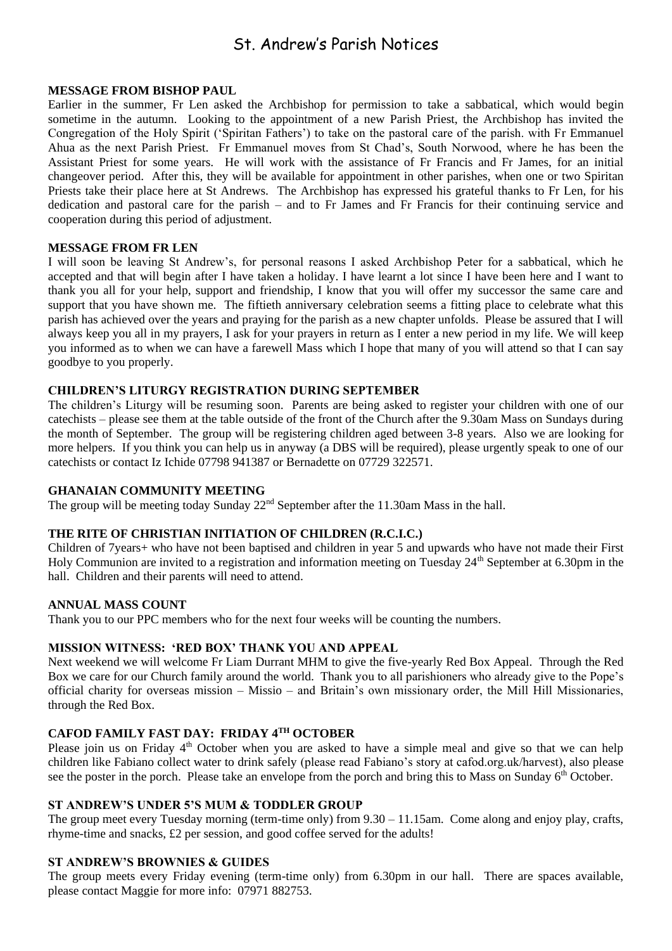## St. Andrew's Parish Notices

## **MESSAGE FROM BISHOP PAUL**

Earlier in the summer, Fr Len asked the Archbishop for permission to take a sabbatical, which would begin sometime in the autumn. Looking to the appointment of a new Parish Priest, the Archbishop has invited the Congregation of the Holy Spirit ('Spiritan Fathers') to take on the pastoral care of the parish. with Fr Emmanuel Ahua as the next Parish Priest. Fr Emmanuel moves from St Chad's, South Norwood, where he has been the Assistant Priest for some years. He will work with the assistance of Fr Francis and Fr James, for an initial changeover period. After this, they will be available for appointment in other parishes, when one or two Spiritan Priests take their place here at St Andrews. The Archbishop has expressed his grateful thanks to Fr Len, for his dedication and pastoral care for the parish – and to Fr James and Fr Francis for their continuing service and cooperation during this period of adjustment.

## **MESSAGE FROM FR LEN**

I will soon be leaving St Andrew's, for personal reasons I asked Archbishop Peter for a sabbatical, which he accepted and that will begin after I have taken a holiday. I have learnt a lot since I have been here and I want to thank you all for your help, support and friendship, I know that you will offer my successor the same care and support that you have shown me. The fiftieth anniversary celebration seems a fitting place to celebrate what this parish has achieved over the years and praying for the parish as a new chapter unfolds. Please be assured that I will always keep you all in my prayers, I ask for your prayers in return as I enter a new period in my life. We will keep you informed as to when we can have a farewell Mass which I hope that many of you will attend so that I can say goodbye to you properly.

## **CHILDREN'S LITURGY REGISTRATION DURING SEPTEMBER**

The children's Liturgy will be resuming soon. Parents are being asked to register your children with one of our catechists – please see them at the table outside of the front of the Church after the 9.30am Mass on Sundays during the month of September. The group will be registering children aged between 3-8 years. Also we are looking for more helpers. If you think you can help us in anyway (a DBS will be required), please urgently speak to one of our catechists or contact Iz Ichide 07798 941387 or Bernadette on 07729 322571.

## **GHANAIAN COMMUNITY MEETING**

The group will be meeting today Sunday  $22<sup>nd</sup>$  September after the 11.30am Mass in the hall.

## **THE RITE OF CHRISTIAN INITIATION OF CHILDREN (R.C.I.C.)**

Children of 7years+ who have not been baptised and children in year 5 and upwards who have not made their First Holy Communion are invited to a registration and information meeting on Tuesday 24<sup>th</sup> September at 6.30pm in the hall. Children and their parents will need to attend.

## **ANNUAL MASS COUNT**

Thank you to our PPC members who for the next four weeks will be counting the numbers.

## **MISSION WITNESS: 'RED BOX' THANK YOU AND APPEAL**

Next weekend we will welcome Fr Liam Durrant MHM to give the five-yearly Red Box Appeal. Through the Red Box we care for our Church family around the world. Thank you to all parishioners who already give to the Pope's official charity for overseas mission – Missio – and Britain's own missionary order, the Mill Hill Missionaries, through the Red Box.

## **CAFOD FAMILY FAST DAY: FRIDAY 4TH OCTOBER**

Please join us on Friday  $4<sup>th</sup>$  October when you are asked to have a simple meal and give so that we can help children like Fabiano collect water to drink safely (please read Fabiano's story at cafod.org.uk/harvest), also please see the poster in the porch. Please take an envelope from the porch and bring this to Mass on Sunday 6<sup>th</sup> October.

## **ST ANDREW'S UNDER 5'S MUM & TODDLER GROUP**

The group meet every Tuesday morning (term-time only) from 9.30 – 11.15am. Come along and enjoy play, crafts, rhyme-time and snacks, £2 per session, and good coffee served for the adults!

## **ST ANDREW'S BROWNIES & GUIDES**

The group meets every Friday evening (term-time only) from 6.30pm in our hall. There are spaces available, please contact Maggie for more info: 07971 882753.